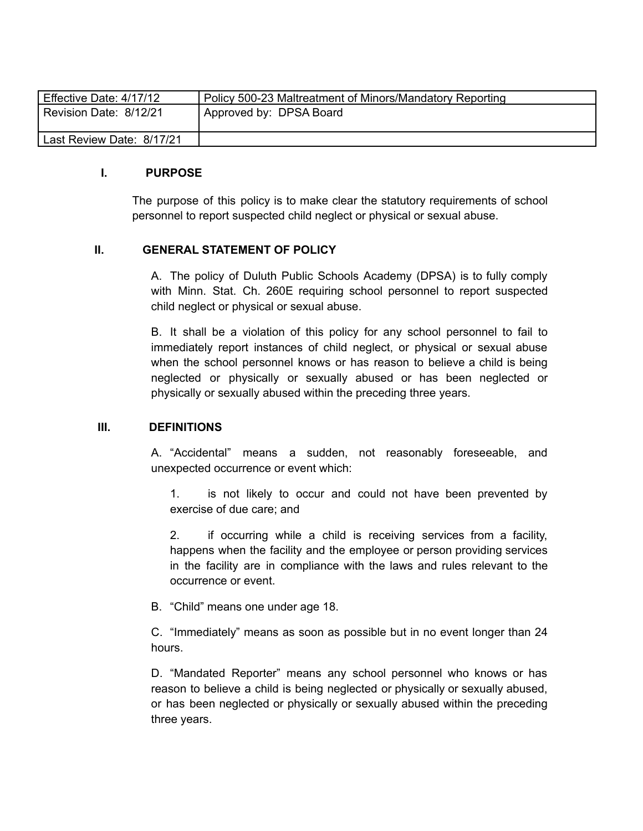| Effective Date: 4/17/12   | Policy 500-23 Maltreatment of Minors/Mandatory Reporting |
|---------------------------|----------------------------------------------------------|
| Revision Date: 8/12/21    | Approved by: DPSA Board                                  |
| Last Review Date: 8/17/21 |                                                          |

#### **I. PURPOSE**

The purpose of this policy is to make clear the statutory requirements of school personnel to report suspected child neglect or physical or sexual abuse.

#### **II. GENERAL STATEMENT OF POLICY**

A. The policy of Duluth Public Schools Academy (DPSA) is to fully comply with Minn. Stat. Ch. 260E requiring school personnel to report suspected child neglect or physical or sexual abuse.

B. It shall be a violation of this policy for any school personnel to fail to immediately report instances of child neglect, or physical or sexual abuse when the school personnel knows or has reason to believe a child is being neglected or physically or sexually abused or has been neglected or physically or sexually abused within the preceding three years.

#### **III. DEFINITIONS**

A. "Accidental" means a sudden, not reasonably foreseeable, and unexpected occurrence or event which:

1. is not likely to occur and could not have been prevented by exercise of due care; and

2. if occurring while a child is receiving services from a facility, happens when the facility and the employee or person providing services in the facility are in compliance with the laws and rules relevant to the occurrence or event.

B. "Child" means one under age 18.

C. "Immediately" means as soon as possible but in no event longer than 24 hours.

D. "Mandated Reporter" means any school personnel who knows or has reason to believe a child is being neglected or physically or sexually abused, or has been neglected or physically or sexually abused within the preceding three years.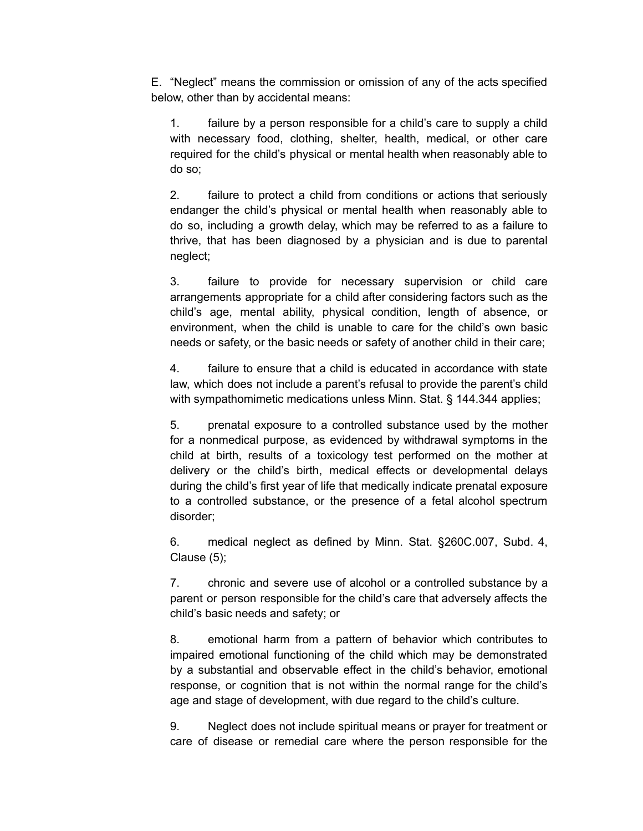E. "Neglect" means the commission or omission of any of the acts specified below, other than by accidental means:

1. failure by a person responsible for a child's care to supply a child with necessary food, clothing, shelter, health, medical, or other care required for the child's physical or mental health when reasonably able to do so;

2. failure to protect a child from conditions or actions that seriously endanger the child's physical or mental health when reasonably able to do so, including a growth delay, which may be referred to as a failure to thrive, that has been diagnosed by a physician and is due to parental neglect;

3. failure to provide for necessary supervision or child care arrangements appropriate for a child after considering factors such as the child's age, mental ability, physical condition, length of absence, or environment, when the child is unable to care for the child's own basic needs or safety, or the basic needs or safety of another child in their care;

4. failure to ensure that a child is educated in accordance with state law, which does not include a parent's refusal to provide the parent's child with sympathomimetic medications unless Minn. Stat. § 144.344 applies;

5. prenatal exposure to a controlled substance used by the mother for a nonmedical purpose, as evidenced by withdrawal symptoms in the child at birth, results of a toxicology test performed on the mother at delivery or the child's birth, medical effects or developmental delays during the child's first year of life that medically indicate prenatal exposure to a controlled substance, or the presence of a fetal alcohol spectrum disorder;

6. medical neglect as defined by Minn. Stat. §260C.007, Subd. 4, Clause (5);

7. chronic and severe use of alcohol or a controlled substance by a parent or person responsible for the child's care that adversely affects the child's basic needs and safety; or

8. emotional harm from a pattern of behavior which contributes to impaired emotional functioning of the child which may be demonstrated by a substantial and observable effect in the child's behavior, emotional response, or cognition that is not within the normal range for the child's age and stage of development, with due regard to the child's culture.

9. Neglect does not include spiritual means or prayer for treatment or care of disease or remedial care where the person responsible for the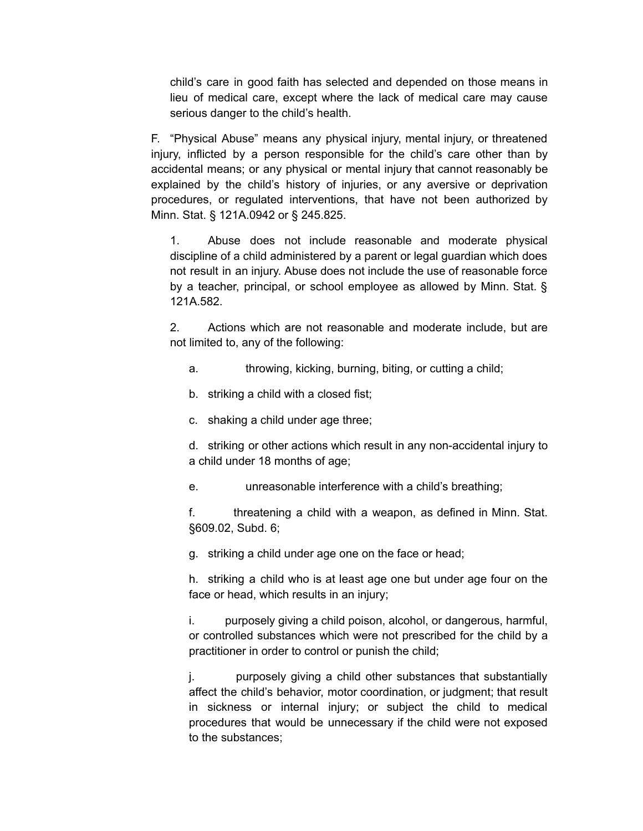child's care in good faith has selected and depended on those means in lieu of medical care, except where the lack of medical care may cause serious danger to the child's health.

F. "Physical Abuse" means any physical injury, mental injury, or threatened injury, inflicted by a person responsible for the child's care other than by accidental means; or any physical or mental injury that cannot reasonably be explained by the child's history of injuries, or any aversive or deprivation procedures, or regulated interventions, that have not been authorized by Minn. Stat. § 121A.0942 or § 245.825.

1. Abuse does not include reasonable and moderate physical discipline of a child administered by a parent or legal guardian which does not result in an injury. Abuse does not include the use of reasonable force by a teacher, principal, or school employee as allowed by Minn. Stat. § 121A.582.

2. Actions which are not reasonable and moderate include, but are not limited to, any of the following:

- a. throwing, kicking, burning, biting, or cutting a child;
- b. striking a child with a closed fist;
- c. shaking a child under age three;

d. striking or other actions which result in any non-accidental injury to a child under 18 months of age;

e. unreasonable interference with a child's breathing;

f. threatening a child with a weapon, as defined in Minn. Stat. §609.02, Subd. 6;

g. striking a child under age one on the face or head;

h. striking a child who is at least age one but under age four on the face or head, which results in an injury;

i. purposely giving a child poison, alcohol, or dangerous, harmful, or controlled substances which were not prescribed for the child by a practitioner in order to control or punish the child;

j. purposely giving a child other substances that substantially affect the child's behavior, motor coordination, or judgment; that result in sickness or internal injury; or subject the child to medical procedures that would be unnecessary if the child were not exposed to the substances;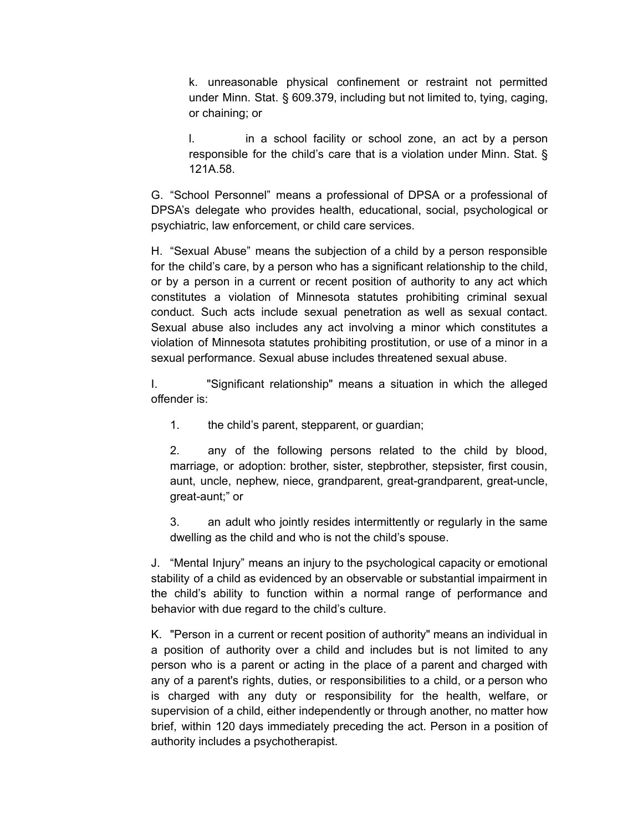k. unreasonable physical confinement or restraint not permitted under Minn. Stat. § 609.379, including but not limited to, tying, caging, or chaining; or

l. in a school facility or school zone, an act by a person responsible for the child's care that is a violation under Minn. Stat. § 121A.58.

G. "School Personnel" means a professional of DPSA or a professional of DPSA's delegate who provides health, educational, social, psychological or psychiatric, law enforcement, or child care services.

H. "Sexual Abuse" means the subjection of a child by a person responsible for the child's care, by a person who has a significant relationship to the child, or by a person in a current or recent position of authority to any act which constitutes a violation of Minnesota statutes prohibiting criminal sexual conduct. Such acts include sexual penetration as well as sexual contact. Sexual abuse also includes any act involving a minor which constitutes a violation of Minnesota statutes prohibiting prostitution, or use of a minor in a sexual performance. Sexual abuse includes threatened sexual abuse.

I. "Significant relationship" means a situation in which the alleged offender is:

1. the child's parent, stepparent, or guardian;

2. any of the following persons related to the child by blood, marriage, or adoption: brother, sister, stepbrother, stepsister, first cousin, aunt, uncle, nephew, niece, grandparent, great-grandparent, great-uncle, great-aunt;" or

3. an adult who jointly resides intermittently or regularly in the same dwelling as the child and who is not the child's spouse.

J. "Mental Injury" means an injury to the psychological capacity or emotional stability of a child as evidenced by an observable or substantial impairment in the child's ability to function within a normal range of performance and behavior with due regard to the child's culture.

K. "Person in a current or recent position of authority" means an individual in a position of authority over a child and includes but is not limited to any person who is a parent or acting in the place of a parent and charged with any of a parent's rights, duties, or responsibilities to a child, or a person who is charged with any duty or responsibility for the health, welfare, or supervision of a child, either independently or through another, no matter how brief, within 120 days immediately preceding the act. Person in a position of authority includes a psychotherapist.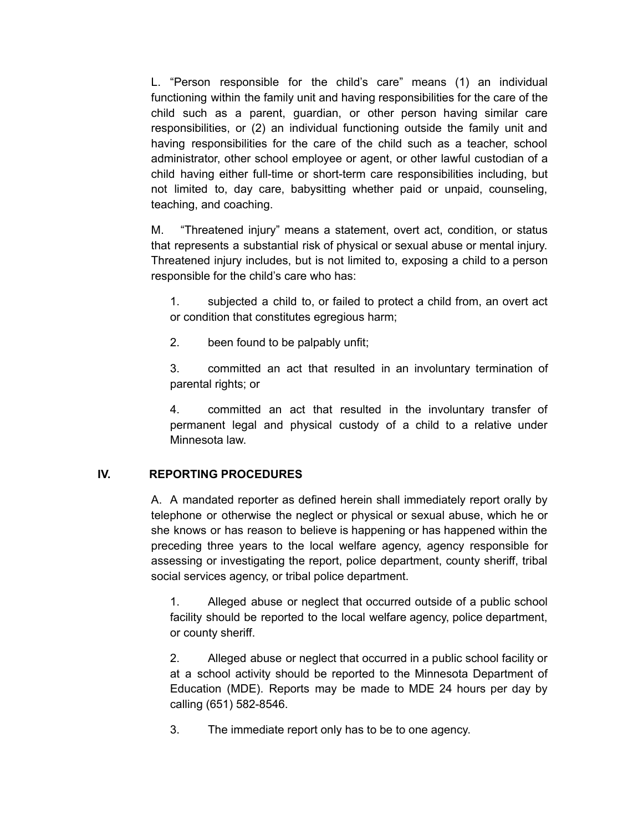L. "Person responsible for the child's care" means (1) an individual functioning within the family unit and having responsibilities for the care of the child such as a parent, guardian, or other person having similar care responsibilities, or (2) an individual functioning outside the family unit and having responsibilities for the care of the child such as a teacher, school administrator, other school employee or agent, or other lawful custodian of a child having either full-time or short-term care responsibilities including, but not limited to, day care, babysitting whether paid or unpaid, counseling, teaching, and coaching.

M. "Threatened injury" means a statement, overt act, condition, or status that represents a substantial risk of physical or sexual abuse or mental injury. Threatened injury includes, but is not limited to, exposing a child to a person responsible for the child's care who has:

1. subjected a child to, or failed to protect a child from, an overt act or condition that constitutes egregious harm;

2. been found to be palpably unfit;

3. committed an act that resulted in an involuntary termination of parental rights; or

4. committed an act that resulted in the involuntary transfer of permanent legal and physical custody of a child to a relative under Minnesota law.

## **IV. REPORTING PROCEDURES**

A. A mandated reporter as defined herein shall immediately report orally by telephone or otherwise the neglect or physical or sexual abuse, which he or she knows or has reason to believe is happening or has happened within the preceding three years to the local welfare agency, agency responsible for assessing or investigating the report, police department, county sheriff, tribal social services agency, or tribal police department.

1. Alleged abuse or neglect that occurred outside of a public school facility should be reported to the local welfare agency, police department, or county sheriff.

2. Alleged abuse or neglect that occurred in a public school facility or at a school activity should be reported to the Minnesota Department of Education (MDE). Reports may be made to MDE 24 hours per day by calling (651) 582-8546.

3. The immediate report only has to be to one agency.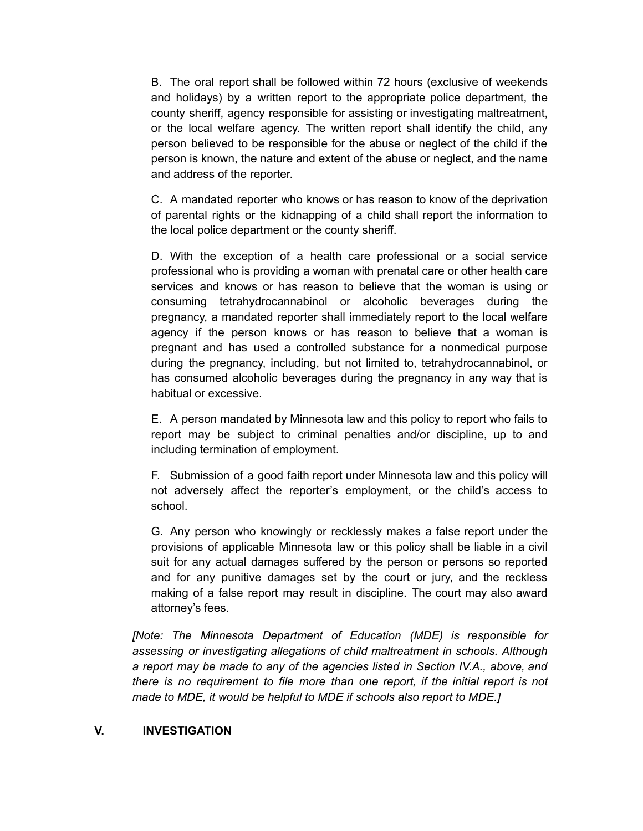B. The oral report shall be followed within 72 hours (exclusive of weekends and holidays) by a written report to the appropriate police department, the county sheriff, agency responsible for assisting or investigating maltreatment, or the local welfare agency. The written report shall identify the child, any person believed to be responsible for the abuse or neglect of the child if the person is known, the nature and extent of the abuse or neglect, and the name and address of the reporter.

C. A mandated reporter who knows or has reason to know of the deprivation of parental rights or the kidnapping of a child shall report the information to the local police department or the county sheriff.

D. With the exception of a health care professional or a social service professional who is providing a woman with prenatal care or other health care services and knows or has reason to believe that the woman is using or consuming tetrahydrocannabinol or alcoholic beverages during the pregnancy, a mandated reporter shall immediately report to the local welfare agency if the person knows or has reason to believe that a woman is pregnant and has used a controlled substance for a nonmedical purpose during the pregnancy, including, but not limited to, tetrahydrocannabinol, or has consumed alcoholic beverages during the pregnancy in any way that is habitual or excessive.

E. A person mandated by Minnesota law and this policy to report who fails to report may be subject to criminal penalties and/or discipline, up to and including termination of employment.

F. Submission of a good faith report under Minnesota law and this policy will not adversely affect the reporter's employment, or the child's access to school.

G. Any person who knowingly or recklessly makes a false report under the provisions of applicable Minnesota law or this policy shall be liable in a civil suit for any actual damages suffered by the person or persons so reported and for any punitive damages set by the court or jury, and the reckless making of a false report may result in discipline. The court may also award attorney's fees.

*[Note: The Minnesota Department of Education (MDE) is responsible for assessing or investigating allegations of child maltreatment in schools. Although a report may be made to any of the agencies listed in Section IV.A., above, and there is no requirement to file more than one report, if the initial report is not made to MDE, it would be helpful to MDE if schools also report to MDE.]*

### **V. INVESTIGATION**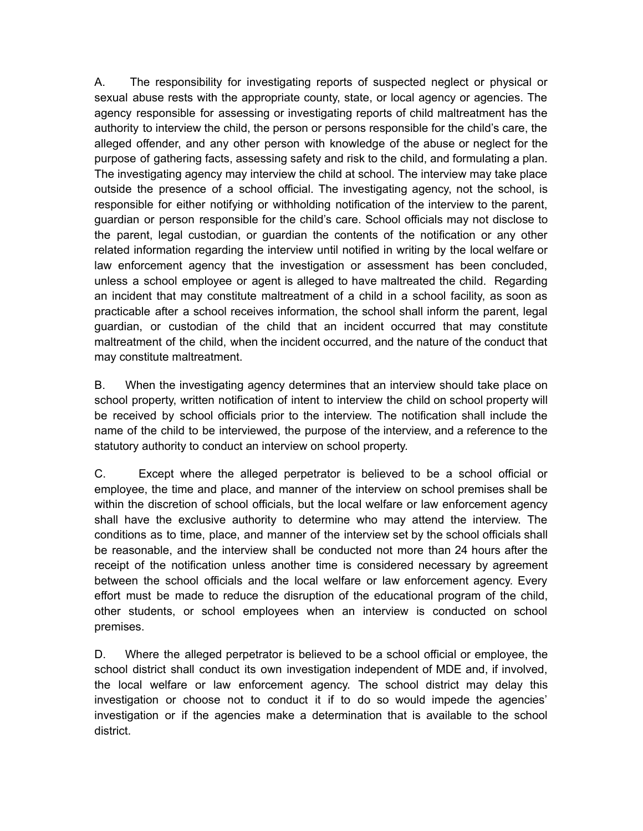A. The responsibility for investigating reports of suspected neglect or physical or sexual abuse rests with the appropriate county, state, or local agency or agencies. The agency responsible for assessing or investigating reports of child maltreatment has the authority to interview the child, the person or persons responsible for the child's care, the alleged offender, and any other person with knowledge of the abuse or neglect for the purpose of gathering facts, assessing safety and risk to the child, and formulating a plan. The investigating agency may interview the child at school. The interview may take place outside the presence of a school official. The investigating agency, not the school, is responsible for either notifying or withholding notification of the interview to the parent, guardian or person responsible for the child's care. School officials may not disclose to the parent, legal custodian, or guardian the contents of the notification or any other related information regarding the interview until notified in writing by the local welfare or law enforcement agency that the investigation or assessment has been concluded, unless a school employee or agent is alleged to have maltreated the child. Regarding an incident that may constitute maltreatment of a child in a school facility, as soon as practicable after a school receives information, the school shall inform the parent, legal guardian, or custodian of the child that an incident occurred that may constitute maltreatment of the child, when the incident occurred, and the nature of the conduct that may constitute maltreatment.

B. When the investigating agency determines that an interview should take place on school property, written notification of intent to interview the child on school property will be received by school officials prior to the interview. The notification shall include the name of the child to be interviewed, the purpose of the interview, and a reference to the statutory authority to conduct an interview on school property.

C. Except where the alleged perpetrator is believed to be a school official or employee, the time and place, and manner of the interview on school premises shall be within the discretion of school officials, but the local welfare or law enforcement agency shall have the exclusive authority to determine who may attend the interview. The conditions as to time, place, and manner of the interview set by the school officials shall be reasonable, and the interview shall be conducted not more than 24 hours after the receipt of the notification unless another time is considered necessary by agreement between the school officials and the local welfare or law enforcement agency. Every effort must be made to reduce the disruption of the educational program of the child, other students, or school employees when an interview is conducted on school premises.

D. Where the alleged perpetrator is believed to be a school official or employee, the school district shall conduct its own investigation independent of MDE and, if involved, the local welfare or law enforcement agency. The school district may delay this investigation or choose not to conduct it if to do so would impede the agencies' investigation or if the agencies make a determination that is available to the school district.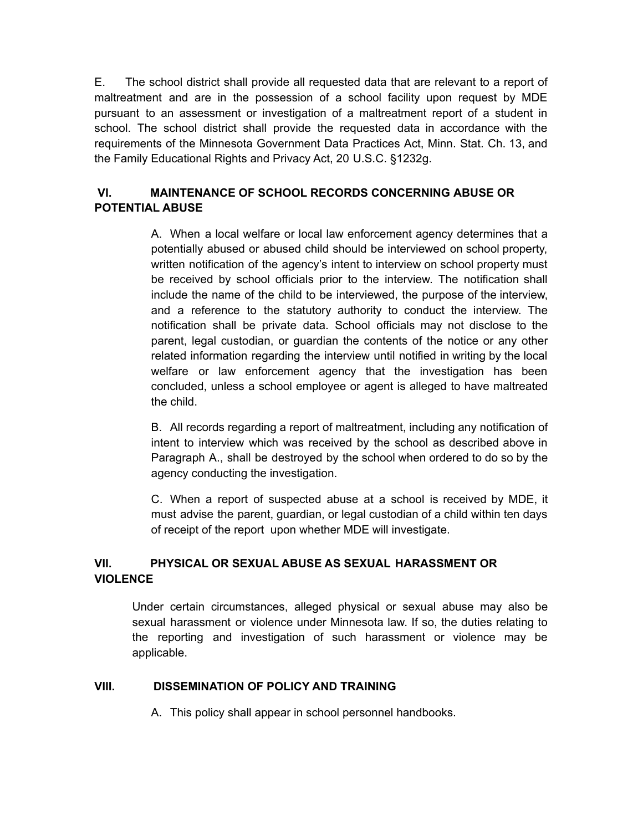E. The school district shall provide all requested data that are relevant to a report of maltreatment and are in the possession of a school facility upon request by MDE pursuant to an assessment or investigation of a maltreatment report of a student in school. The school district shall provide the requested data in accordance with the requirements of the Minnesota Government Data Practices Act, Minn. Stat. Ch. 13, and the Family Educational Rights and Privacy Act, 20 U.S.C. §1232g.

# **VI. MAINTENANCE OF SCHOOL RECORDS CONCERNING ABUSE OR POTENTIAL ABUSE**

A. When a local welfare or local law enforcement agency determines that a potentially abused or abused child should be interviewed on school property, written notification of the agency's intent to interview on school property must be received by school officials prior to the interview. The notification shall include the name of the child to be interviewed, the purpose of the interview, and a reference to the statutory authority to conduct the interview. The notification shall be private data. School officials may not disclose to the parent, legal custodian, or guardian the contents of the notice or any other related information regarding the interview until notified in writing by the local welfare or law enforcement agency that the investigation has been concluded, unless a school employee or agent is alleged to have maltreated the child.

B. All records regarding a report of maltreatment, including any notification of intent to interview which was received by the school as described above in Paragraph A., shall be destroyed by the school when ordered to do so by the agency conducting the investigation.

C. When a report of suspected abuse at a school is received by MDE, it must advise the parent, guardian, or legal custodian of a child within ten days of receipt of the report upon whether MDE will investigate.

# **VII. PHYSICAL OR SEXUAL ABUSE AS SEXUAL HARASSMENT OR VIOLENCE**

Under certain circumstances, alleged physical or sexual abuse may also be sexual harassment or violence under Minnesota law. If so, the duties relating to the reporting and investigation of such harassment or violence may be applicable.

## **VIII. DISSEMINATION OF POLICY AND TRAINING**

A. This policy shall appear in school personnel handbooks.